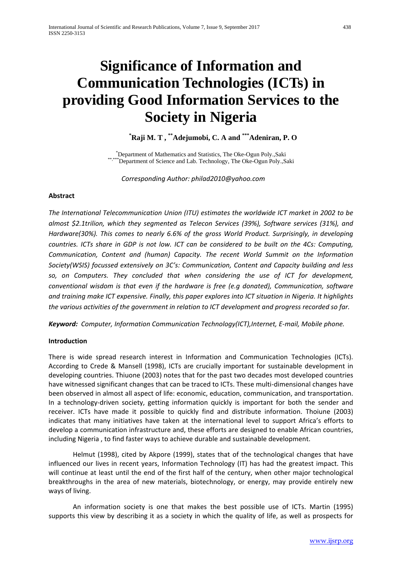# **Significance of Information and Communication Technologies (ICTs) in providing Good Information Services to the Society in Nigeria**

## **\* Raji M. T , \*\*Adejumobi, C. A and \*\*\*Adeniran, P. O**

\* Department of Mathematics and Statistics, The Oke-Ogun Poly.,Saki \*Department of Science and Lab. Technology, The Oke-Ogun Poly.,Saki

*Corresponding Author: philad2010@yahoo.com*

## **Abstract**

*The International Telecommunication Union (ITU) estimates the worldwide ICT market in 2002 to be almost \$2.1trilion, which they segmented as Telecon Services (39%), Software services (31%), and Hardware(30%). This comes to nearly 6.6% of the gross World Product. Surprisingly, in developing countries. ICTs share in GDP is not low. ICT can be considered to be built on the 4Cs: Computing, Communication, Content and (human) Capacity. The recent World Summit on the Information Society(WSIS) focussed extensively on 3C's: Communication, Content and Capacity building and less so, on Computers. They concluded that when considering the use of ICT for development, conventional wisdom is that even if the hardware is free (e.g donated), Communication, software and training make ICT expensive. Finally, this paper explores into ICT situation in Nigeria. It highlights the various activities of the government in relation to ICT development and progress recorded so far.* 

*Keyword: Computer, Information Communication Technology(ICT),Internet, E-mail, Mobile phone.*

## **Introduction**

There is wide spread research interest in Information and Communication Technologies (ICTs). According to Crede & Mansell (1998), ICTs are crucially important for sustainable development in developing countries. Thiuone (2003) notes that for the past two decades most developed countries have witnessed significant changes that can be traced to ICTs. These multi-dimensional changes have been observed in almost all aspect of life: economic, education, communication, and transportation. In a technology-driven society, getting information quickly is important for both the sender and receiver. ICTs have made it possible to quickly find and distribute information. Thoiune (2003) indicates that many initiatives have taken at the international level to support Africa's efforts to develop a communication infrastructure and, these efforts are designed to enable African countries, including Nigeria , to find faster ways to achieve durable and sustainable development.

Helmut (1998), cited by Akpore (1999), states that of the technological changes that have influenced our lives in recent years, Information Technology (IT) has had the greatest impact. This will continue at least until the end of the first half of the century, when other major technological breakthroughs in the area of new materials, biotechnology, or energy, may provide entirely new ways of living.

An information society is one that makes the best possible use of ICTs. Martin (1995) supports this view by describing it as a society in which the quality of life, as well as prospects for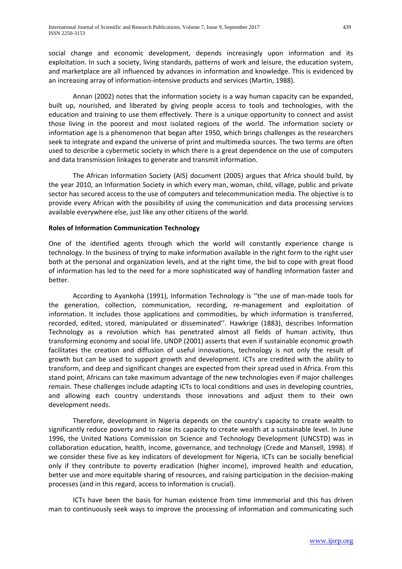social change and economic development, depends increasingly upon information and its exploitation. In such a society, living standards, patterns of work and leisure, the education system, and marketplace are all influenced by advances in information and knowledge. This is evidenced by an increasing array of information-intensive products and services (Martin, 1988).

Annan (2002) notes that the information society is a way human capacity can be expanded, built up, nourished, and liberated by giving people access to tools and technologies, with the education and training to use them effectively. There is a unique opportunity to connect and assist those living in the poorest and most isolated regions of the world. The information society or information age is a phenomenon that began after 1950, which brings challenges as the researchers seek to integrate and expand the universe of print and multimedia sources. The two terms are often used to describe a cybermetic society in which there is a great dependence on the use of computers and data transmission linkages to generate and transmit information.

The African Information Society (AIS) document (2005) argues that Africa should build, by the year 2010, an Information Society in which every man, woman, child, village, public and private sector has secured access to the use of computers and telecommunication media. The objective is to provide every African with the possibility of using the communication and data processing services available everywhere else, just like any other citizens of the world.

## **Roles of Information Communication Technology**

One of the identified agents through which the world will constantly experience change is technology. In the business of trying to make information available in the right form to the right user both at the personal and organization levels, and at the right time, the bid to cope with great flood of information has led to the need for a more sophisticated way of handling information faster and better.

According to Ayankoha (1991), Information Technology is ''the use of man-made tools for the generation, collection, communication, recording, re-management and exploitation of information. It includes those applications and commodities, by which information is transferred, recorded, edited, stored, manipulated or disseminated''. Hawkrige (1883), describes Information Technology as a revolution which has penetrated almost all fields of human activity, thus transforming economy and social life. UNDP (2001) asserts that even if sustainable economic growth facilitates the creation and diffusion of useful innovations, technology is not only the result of growth but can be used to support growth and development. ICTs are credited with the ability to transform, and deep and significant changes are expected from their spread used in Africa. From this stand point, Africans can take maximum advantage of the new technologies even if major challenges remain. These challenges include adapting ICTs to local conditions and uses in developing countries, and allowing each country understands those innovations and adjust them to their own development needs.

Therefore, development in Nigeria depends on the country's capacity to create wealth to significantly reduce poverty and to raise its capacity to create wealth at a sustainable level. In June 1996, the United Nations Commission on Science and Technology Development (UNCSTD) was in collaboration education, health, income, governance, and technology (Crede and Mansell, 1998). If we consider these five as key indicators of development for Nigeria, ICTs can be socially beneficial only if they contribute to poverty eradication (higher income), improved health and education, better use and more equitable sharing of resources, and raising participation in the decision-making processes (and in this regard, access to information is crucial).

ICTs have been the basis for human existence from time immemorial and this has driven man to continuously seek ways to improve the processing of information and communicating such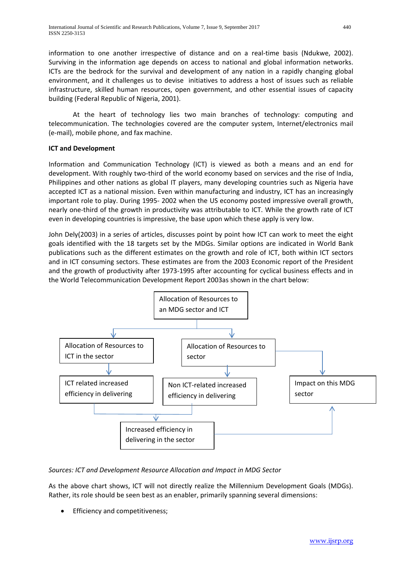information to one another irrespective of distance and on a real-time basis (Ndukwe, 2002). Surviving in the information age depends on access to national and global information networks. ICTs are the bedrock for the survival and development of any nation in a rapidly changing global environment, and it challenges us to devise initiatives to address a host of issues such as reliable infrastructure, skilled human resources, open government, and other essential issues of capacity building (Federal Republic of Nigeria, 2001).

At the heart of technology lies two main branches of technology: computing and telecommunication. The technologies covered are the computer system, Internet/electronics mail (e-mail), mobile phone, and fax machine.

## **ICT and Development**

Information and Communication Technology (ICT) is viewed as both a means and an end for development. With roughly two-third of the world economy based on services and the rise of India, Philippines and other nations as global IT players, many developing countries such as Nigeria have accepted ICT as a national mission. Even within manufacturing and industry, ICT has an increasingly important role to play. During 1995- 2002 when the US economy posted impressive overall growth, nearly one-third of the growth in productivity was attributable to ICT. While the growth rate of ICT even in developing countries is impressive, the base upon which these apply is very low.

John Dely(2003) in a series of articles, discusses point by point how ICT can work to meet the eight goals identified with the 18 targets set by the MDGs. Similar options are indicated in World Bank publications such as the different estimates on the growth and role of ICT, both within ICT sectors and in ICT consuming sectors. These estimates are from the 2003 Economic report of the President and the growth of productivity after 1973-1995 after accounting for cyclical business effects and in the World Telecommunication Development Report 2003as shown in the chart below:



## *Sources: ICT and Development Resource Allocation and Impact in MDG Sector*

As the above chart shows, ICT will not directly realize the Millennium Development Goals (MDGs). Rather, its role should be seen best as an enabler, primarily spanning several dimensions:

• Efficiency and competitiveness;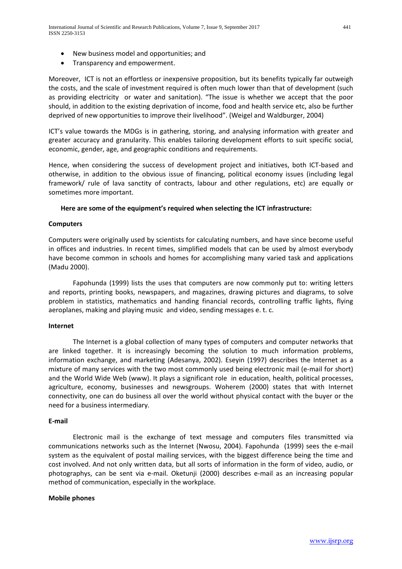- New business model and opportunities; and
- Transparency and empowerment.

Moreover, ICT is not an effortless or inexpensive proposition, but its benefits typically far outweigh the costs, and the scale of investment required is often much lower than that of development (such as providing electricity or water and sanitation). "The issue is whether we accept that the poor should, in addition to the existing deprivation of income, food and health service etc, also be further deprived of new opportunities to improve their livelihood". (Weigel and Waldburger, 2004)

ICT's value towards the MDGs is in gathering, storing, and analysing information with greater and greater accuracy and granularity. This enables tailoring development efforts to suit specific social, economic, gender, age, and geographic conditions and requirements.

Hence, when considering the success of development project and initiatives, both ICT-based and otherwise, in addition to the obvious issue of financing, political economy issues (including legal framework/ rule of lava sanctity of contracts, labour and other regulations, etc) are equally or sometimes more important.

#### **Here are some of the equipment's required when selecting the ICT infrastructure:**

#### **Computers**

Computers were originally used by scientists for calculating numbers, and have since become useful in offices and industries. In recent times, simplified models that can be used by almost everybody have become common in schools and homes for accomplishing many varied task and applications (Madu 2000).

Fapohunda (1999) lists the uses that computers are now commonly put to: writing letters and reports, printing books, newspapers, and magazines, drawing pictures and diagrams, to solve problem in statistics, mathematics and handing financial records, controlling traffic lights, flying aeroplanes, making and playing music and video, sending messages e. t. c.

#### **Internet**

The Internet is a global collection of many types of computers and computer networks that are linked together. It is increasingly becoming the solution to much information problems, information exchange, and marketing (Adesanya, 2002). Eseyin (1997) describes the Internet as a mixture of many services with the two most commonly used being electronic mail (e-mail for short) and the World Wide Web (www). It plays a significant role in education, health, political processes, agriculture, economy, businesses and newsgroups. Woherem (2000) states that with Internet connectivity, one can do business all over the world without physical contact with the buyer or the need for a business intermediary.

#### **E-mail**

Electronic mail is the exchange of text message and computers files transmitted via communications networks such as the Internet (Nwosu, 2004). Fapohunda (1999) sees the e-mail system as the equivalent of postal mailing services, with the biggest difference being the time and cost involved. And not only written data, but all sorts of information in the form of video, audio, or photographys, can be sent via e-mail. Oketunji (2000) describes e-mail as an increasing popular method of communication, especially in the workplace.

#### **Mobile phones**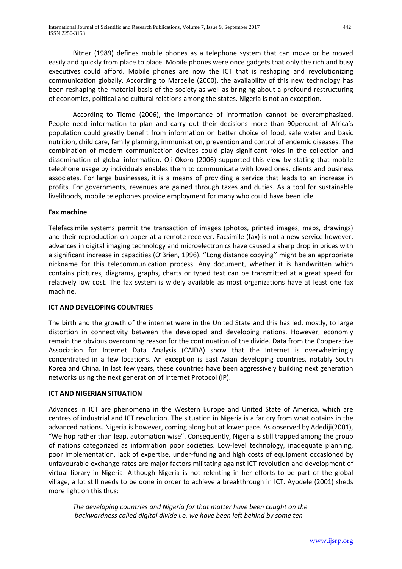Bitner (1989) defines mobile phones as a telephone system that can move or be moved easily and quickly from place to place. Mobile phones were once gadgets that only the rich and busy executives could afford. Mobile phones are now the ICT that is reshaping and revolutionizing communication globally. According to Marcelle (2000), the availability of this new technology has been reshaping the material basis of the society as well as bringing about a profound restructuring of economics, political and cultural relations among the states. Nigeria is not an exception.

According to Tiemo (2006), the importance of information cannot be overemphasized. People need information to plan and carry out their decisions more than 90percent of Africa's population could greatly benefit from information on better choice of food, safe water and basic nutrition, child care, family planning, immunization, prevention and control of endemic diseases. The combination of modern communication devices could play significant roles in the collection and dissemination of global information. Oji-Okoro (2006) supported this view by stating that mobile telephone usage by individuals enables them to communicate with loved ones, clients and business associates. For large businesses, it is a means of providing a service that leads to an increase in profits. For governments, revenues are gained through taxes and duties. As a tool for sustainable livelihoods, mobile telephones provide employment for many who could have been idle.

#### **Fax machine**

Telefacsimile systems permit the transaction of images (photos, printed images, maps, drawings) and their reproduction on paper at a remote receiver. Facsimile (fax) is not a new service however, advances in digital imaging technology and microelectronics have caused a sharp drop in prices with a significant increase in capacities (O'Brien, 1996). ''Long distance copying'' might be an appropriate nickname for this telecommunication process. Any document, whether it is handwritten which contains pictures, diagrams, graphs, charts or typed text can be transmitted at a great speed for relatively low cost. The fax system is widely available as most organizations have at least one fax machine.

## **ICT AND DEVELOPING COUNTRIES**

The birth and the growth of the internet were in the United State and this has led, mostly, to large distortion in connectivity between the developed and developing nations. However, economiy remain the obvious overcoming reason for the continuation of the divide. Data from the Cooperative Association for Internet Data Analysis (CAIDA) show that the Internet is overwhelmingly concentrated in a few locations. An exception is East Asian developing countries, notably South Korea and China. In last few years, these countries have been aggressively building next generation networks using the next generation of Internet Protocol (IP).

#### **ICT AND NIGERIAN SITUATION**

Advances in ICT are phenomena in the Western Europe and United State of America, which are centres of industrial and ICT revolution. The situation in Nigeria is a far cry from what obtains in the advanced nations. Nigeria is however, coming along but at lower pace. As observed by Adediji(2001), "We hop rather than leap, automation wise". Consequently, Nigeria is still trapped among the group of nations categorized as information poor societies. Low-level technology, inadequate planning, poor implementation, lack of expertise, under-funding and high costs of equipment occasioned by unfavourable exchange rates are major factors militating against ICT revolution and development of virtual library in Nigeria. Although Nigeria is not relenting in her efforts to be part of the global village, a lot still needs to be done in order to achieve a breakthrough in ICT. Ayodele (2001) sheds more light on this thus:

*The developing countries and Nigeria for that matter have been caught on the backwardness called digital divide i.e. we have been left behind by some ten*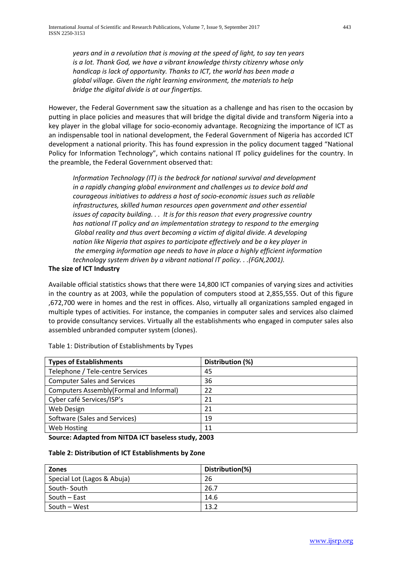*years and in a revolution that is moving at the speed of light, to say ten years is a lot. Thank God, we have a vibrant knowledge thirsty citizenry whose only handicap is lack of opportunity. Thanks to ICT, the world has been made a global village. Given the right learning environment, the materials to help bridge the digital divide is at our fingertips.*

However, the Federal Government saw the situation as a challenge and has risen to the occasion by putting in place policies and measures that will bridge the digital divide and transform Nigeria into a key player in the global village for socio-economiy advantage. Recognizing the importance of ICT as an indispensable tool in national development, the Federal Government of Nigeria has accorded ICT development a national priority. This has found expression in the policy document tagged "National Policy for Information Technology", which contains national IT policy guidelines for the country. In the preamble, the Federal Government observed that:

*Information Technology (IT) is the bedrock for national survival and development in a rapidly changing global environment and challenges us to device bold and courageous initiatives to address a host of socio-economic issues such as reliable infrastructures, skilled human resources open government and other essential issues of capacity building. . . It is for this reason that every progressive country has national IT policy and an implementation strategy to respond to the emerging Global reality and thus avert becoming a victim of digital divide. A developing nation like Nigeria that aspires to participate effectively and be a key player in the emerging information age needs to have in place a highly efficient information technology system driven by a vibrant national IT policy. . .(FGN,2001).*

## **The size of ICT Industry**

Available official statistics shows that there were 14,800 ICT companies of varying sizes and activities in the country as at 2003, while the population of computers stood at 2,855,555. Out of this figure ,672,700 were in homes and the rest in offices. Also, virtually all organizations sampled engaged in multiple types of activities. For instance, the companies in computer sales and services also claimed to provide consultancy services. Virtually all the establishments who engaged in computer sales also assembled unbranded computer system (clones).

| <b>Types of Establishments</b>          | Distribution (%) |
|-----------------------------------------|------------------|
| Telephone / Tele-centre Services        | 45               |
| <b>Computer Sales and Services</b>      | 36               |
| Computers Assembly(Formal and Informal) | 22               |
| Cyber café Services/ISP's               | 21               |
| Web Design                              | 21               |
| Software (Sales and Services)           | 19               |
| Web Hosting                             | 11               |

Table 1: Distribution of Establishments by Types

**Source: Adapted from NITDA ICT baseless study, 2003**

#### **Table 2: Distribution of ICT Establishments by Zone**

| <b>Zones</b>                | Distribution(%) |
|-----------------------------|-----------------|
| Special Lot (Lagos & Abuja) | 26              |
| South-South                 | 26.7            |
| South – East                | 14.6            |
| South – West                | 13.2            |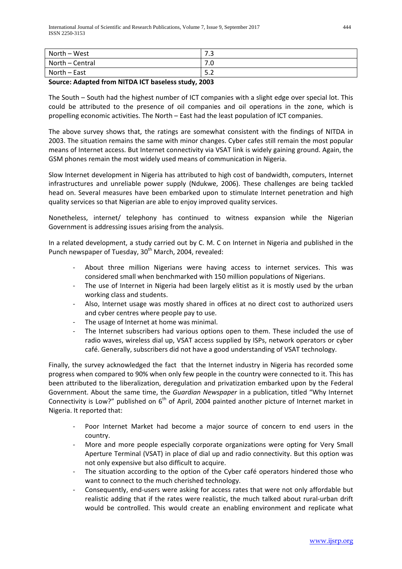| North – West    | כיד<br>د. ا |
|-----------------|-------------|
| North - Central | 7.0         |
| North - East    | 5.2         |

## **Source: Adapted from NITDA ICT baseless study, 2003**

The South – South had the highest number of ICT companies with a slight edge over special lot. This could be attributed to the presence of oil companies and oil operations in the zone, which is propelling economic activities. The North – East had the least population of ICT companies.

The above survey shows that, the ratings are somewhat consistent with the findings of NITDA in 2003. The situation remains the same with minor changes. Cyber cafes still remain the most popular means of Internet access. But Internet connectivity via VSAT link is widely gaining ground. Again, the GSM phones remain the most widely used means of communication in Nigeria.

Slow Internet development in Nigeria has attributed to high cost of bandwidth, computers, Internet infrastructures and unreliable power supply (Ndukwe, 2006). These challenges are being tackled head on. Several measures have been embarked upon to stimulate Internet penetration and high quality services so that Nigerian are able to enjoy improved quality services.

Nonetheless, internet/ telephony has continued to witness expansion while the Nigerian Government is addressing issues arising from the analysis.

In a related development, a study carried out by C. M. C on Internet in Nigeria and published in the Punch newspaper of Tuesday, 30<sup>th</sup> March, 2004, revealed:

- About three million Nigerians were having access to internet services. This was considered small when benchmarked with 150 million populations of Nigerians.
- The use of Internet in Nigeria had been largely elitist as it is mostly used by the urban working class and students.
- Also, Internet usage was mostly shared in offices at no direct cost to authorized users and cyber centres where people pay to use.
- The usage of Internet at home was minimal.
- The Internet subscribers had various options open to them. These included the use of radio waves, wireless dial up, VSAT access supplied by ISPs, network operators or cyber café. Generally, subscribers did not have a good understanding of VSAT technology.

Finally, the survey acknowledged the fact that the Internet industry in Nigeria has recorded some progress when compared to 90% when only few people in the country were connected to it. This has been attributed to the liberalization, deregulation and privatization embarked upon by the Federal Government. About the same time, the *Guardian Newspaper* in a publication, titled "Why Internet Connectivity is Low?" published on  $6<sup>th</sup>$  of April, 2004 painted another picture of Internet market in Nigeria. It reported that:

- Poor Internet Market had become a major source of concern to end users in the country.
- More and more people especially corporate organizations were opting for Very Small Aperture Terminal (VSAT) in place of dial up and radio connectivity. But this option was not only expensive but also difficult to acquire.
- The situation according to the option of the Cyber café operators hindered those who want to connect to the much cherished technology.
- Consequently, end-users were asking for access rates that were not only affordable but realistic adding that if the rates were realistic, the much talked about rural-urban drift would be controlled. This would create an enabling environment and replicate what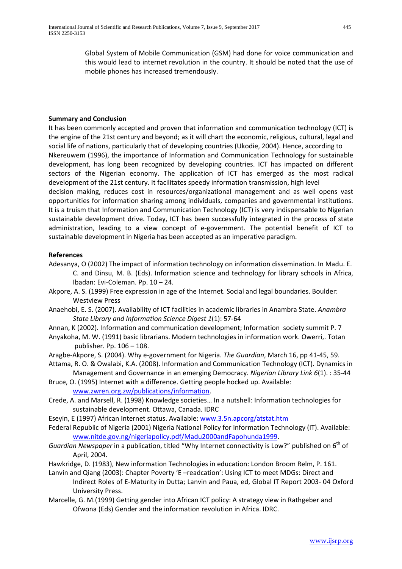Global System of Mobile Communication (GSM) had done for voice communication and this would lead to internet revolution in the country. It should be noted that the use of mobile phones has increased tremendously.

## **Summary and Conclusion**

It has been commonly accepted and proven that information and communication technology (ICT) is the engine of the 21st century and beyond; as it will chart the economic, religious, cultural, legal and social life of nations, particularly that of developing countries (Ukodie, 2004). Hence, according to Nkereuwem (1996), the importance of Information and Communication Technology for sustainable development, has long been recognized by developing countries. ICT has impacted on different sectors of the Nigerian economy. The application of ICT has emerged as the most radical development of the 21st century. It facilitates speedy information transmission, high level decision making, reduces cost in resources/organizational management and as well opens vast opportunities for information sharing among individuals, companies and governmental institutions. It is a truism that Information and Communication Technology (ICT) is very indispensable to Nigerian sustainable development drive. Today, ICT has been successfully integrated in the process of state administration, leading to a view concept of e-government. The potential benefit of ICT to sustainable development in Nigeria has been accepted as an imperative paradigm.

#### **References**

- Adesanya, O (2002) The impact of information technology on information dissemination. In Madu. E. C. and Dinsu, M. B. (Eds). Information science and technology for library schools in Africa, Ibadan: Evi-Coleman. Pp. 10 – 24.
- Akpore, A. S. (1999) Free expression in age of the Internet. Social and legal boundaries. Boulder: Westview Press
- Anaehobi, E. S. (2007). Availability of ICT facilities in academic libraries in Anambra State. *Anambra State Library and Information Science Digest 1*(1): 57-64
- Annan, K (2002). Information and communication development; Information society summit P. 7
- Anyakoha, M. W. (1991) basic librarians. Modern technologies in information work. Owerri,. Totan publisher. Pp. 106 – 108.
- Aragbe-Akpore, S. (2004). Why e-government for Nigeria. *The Guardian*, March 16, pp 41-45, 59.

Attama, R. O. & Owalabi, K.A. (2008). Information and Communication Technology (ICT). Dynamics in Management and Governance in an emerging Democracy. *Nigerian Library Link 6*(1). : 35-44

- Bruce, O. (1995) Internet with a difference. Getting people hocked up. Available: [www.zwren.org.zw/publications/information.](http://www.zwren.org.zw/publications/information)
- Crede, A. and Marsell, R. (1998) Knowledge societies… In a nutshell: Information technologies for sustainable development. Ottawa, Canada. IDRC
- Eseyin, E (1997) African Internet status. Available: [www.3.5n.apcorg/atstat.htm](http://www.3.5n.apcorg/atstat.htm)

Federal Republic of Nigeria (2001) Nigeria National Policy for Information Technology (IT). Available: [www.nitde.gov.ng/nigeriapolicy.pdf/Madu2000andFapohunda1999.](http://www.nitde.gov.ng/nigeriapolicy.pdf/Madu2000andFapohunda1999)

- *Guardian Newspaper* in a publication, titled "Why Internet connectivity is Low?" published on 6<sup>th</sup> of April, 2004.
- Hawkridge, D. (1983), New information Technologies in education: London Broom Relm, P. 161.
- Lanvin and Qiang (2003): Chapter Poverty 'E –readcation': Using ICT to meet MDGs: Direct and Indirect Roles of E-Maturity in Dutta; Lanvin and Paua, ed, Global IT Report 2003- 04 Oxford University Press.
- Marcelle, G. M.(1999) Getting gender into African ICT policy: A strategy view in Rathgeber and Ofwona (Eds) Gender and the information revolution in Africa. IDRC.